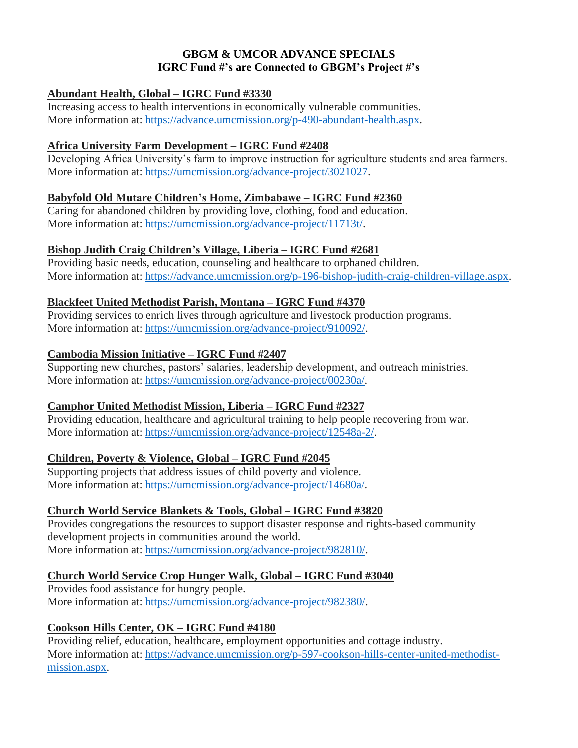### **GBGM & UMCOR ADVANCE SPECIALS IGRC Fund #'s are Connected to GBGM's Project #'s**

### **Abundant Health, Global – IGRC Fund #3330**

Increasing access to health interventions in economically vulnerable communities. More information at: [https://advance.umcmission.org/p-490-abundant-health.aspx.](https://advance.umcmission.org/p-490-abundant-health.aspx)

#### **Africa University Farm Development – IGRC Fund #2408**

Developing Africa University's farm to improve instruction for agriculture students and area farmers. More information at: [https://umcmission.org/advance-project/3021027.](https://umcmission.org/advance-project/3021027)

#### **Babyfold Old Mutare Children's Home, Zimbabawe – IGRC Fund #2360**

Caring for abandoned children by providing love, clothing, food and education. More information at: [https://umcmission.org/advance-project/11713t/.](https://umcmission.org/advance-project/11713t/)

#### **Bishop Judith Craig Children's Village, Liberia – IGRC Fund #2681**

Providing basic needs, education, counseling and healthcare to orphaned children. More information at: [https://advance.umcmission.org/p-196-bishop-judith-craig-children-village.aspx.](https://advance.umcmission.org/p-196-bishop-judith-craig-children-village.aspx)

#### **Blackfeet United Methodist Parish, Montana – IGRC Fund #4370**

Providing services to enrich lives through agriculture and livestock production programs. More information at: [https://umcmission.org/advance-project/910092/.](https://umcmission.org/advance-project/910092/)

#### **Cambodia Mission Initiative – IGRC Fund #2407**

Supporting new churches, pastors' salaries, leadership development, and outreach ministries. More information at: [https://umcmission.org/advance-project/00230a/.](https://umcmission.org/advance-project/00230a/)

#### **Camphor United Methodist Mission, Liberia – IGRC Fund #2327**

Providing education, healthcare and agricultural training to help people recovering from war. More information at: [https://umcmission.org/advance-project/12548a-2/.](https://umcmission.org/advance-project/12548a-2/)

#### **Children, Poverty & Violence, Global – IGRC Fund #2045**

Supporting projects that address issues of child poverty and violence. More information at: [https://umcmission.org/advance-project/14680a/.](https://umcmission.org/advance-project/14680a/)

#### **Church World Service Blankets & Tools, Global – IGRC Fund #3820**

Provides congregations the resources to support disaster response and rights-based community development projects in communities around the world. More information at: [https://umcmission.org/advance-project/982810/.](https://umcmission.org/advance-project/982810/)

# **Church World Service Crop Hunger Walk, Global – IGRC Fund #3040**

Provides food assistance for hungry people. More information at: [https://umcmission.org/advance-project/982380/.](https://umcmission.org/advance-project/982380/)

# **Cookson Hills Center, OK – IGRC Fund #4180**

Providing relief, education, healthcare, employment opportunities and cottage industry. More information at: [https://advance.umcmission.org/p-597-cookson-hills-center-united-methodist](https://advance.umcmission.org/p-597-cookson-hills-center-united-methodist-mission.aspx)[mission.aspx.](https://advance.umcmission.org/p-597-cookson-hills-center-united-methodist-mission.aspx)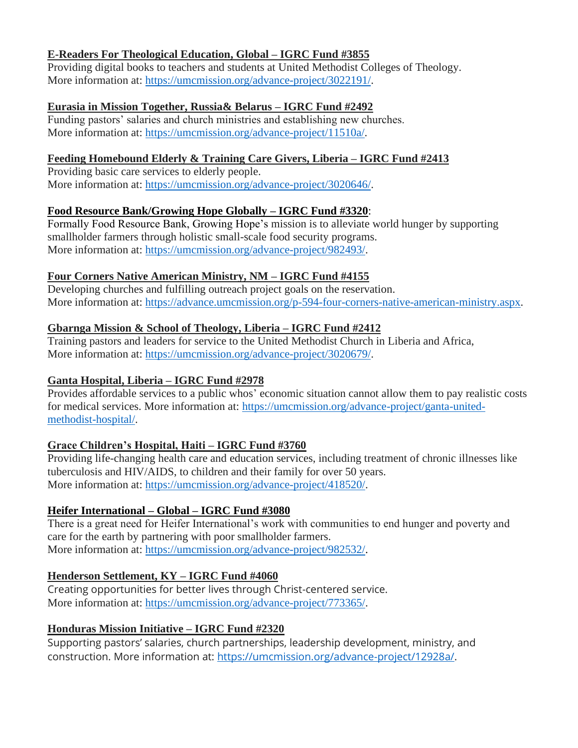### **E-Readers For Theological Education, Global – IGRC Fund #3855**

Providing digital books to teachers and students at United Methodist Colleges of Theology. More information at: [https://umcmission.org/advance-project/3022191/.](https://umcmission.org/advance-project/3022191/)

#### **Eurasia in Mission Together, Russia& Belarus – IGRC Fund #2492**

Funding pastors' salaries and church ministries and establishing new churches. More information at: [https://umcmission.org/advance-project/11510a/.](https://umcmission.org/advance-project/11510a/)

### **Feeding Homebound Elderly & Training Care Givers, Liberia – IGRC Fund #2413**

Providing basic care services to elderly people. More information at: [https://umcmission.org/advance-project/3020646/.](https://umcmission.org/advance-project/3020646/)

### **Food Resource Bank/Growing Hope Globally – IGRC Fund #3320**:

Formally Food Resource Bank, Growing Hope's mission is to alleviate world hunger by supporting smallholder farmers through holistic small-scale food security programs. More information at: [https://umcmission.org/advance-project/982493/.](https://umcmission.org/advance-project/982493/)

### **Four Corners Native American Ministry, NM – IGRC Fund #4155**

Developing churches and fulfilling outreach project goals on the reservation. More information at: [https://advance.umcmission.org/p-594-four-corners-native-american-ministry.aspx.](https://advance.umcmission.org/p-594-four-corners-native-american-ministry.aspx)

# **Gbarnga Mission & School of Theology, Liberia – IGRC Fund #2412**

Training pastors and leaders for service to the United Methodist Church in Liberia and Africa, More information at: [https://umcmission.org/advance-project/3020679/.](https://umcmission.org/advance-project/3020679/)

### **Ganta Hospital, Liberia – IGRC Fund #2978**

Provides affordable services to a public whos' economic situation cannot allow them to pay realistic costs for medical services. More information at: [https://umcmission.org/advance-project/ganta-united](https://umcmission.org/advance-project/ganta-united-methodist-hospital/)[methodist-hospital/.](https://umcmission.org/advance-project/ganta-united-methodist-hospital/)

# **Grace Children's Hospital, Haiti – IGRC Fund #3760**

Providing life-changing health care and education services, including treatment of chronic illnesses like tuberculosis and HIV/AIDS, to children and their family for over 50 years. More information at: [https://umcmission.org/advance-project/418520/.](https://umcmission.org/advance-project/418520/)

# **Heifer International – Global – IGRC Fund #3080**

There is a great need for Heifer International's work with communities to end hunger and poverty and care for the earth by partnering with poor smallholder farmers. More information at: [https://umcmission.org/advance-project/982532/.](https://umcmission.org/advance-project/982532/)

# **Henderson Settlement, KY – IGRC Fund #4060**

Creating opportunities for better lives through Christ-centered service. More information at: [https://umcmission.org/advance-project/773365/.](https://umcmission.org/advance-project/773365/)

# **Honduras Mission Initiative – IGRC Fund #2320**

Supporting pastors' salaries, church partnerships, leadership development, ministry, and construction. More information at: [https://umcmission.org/advance-project/12928a/.](https://umcmission.org/advance-project/12928a/)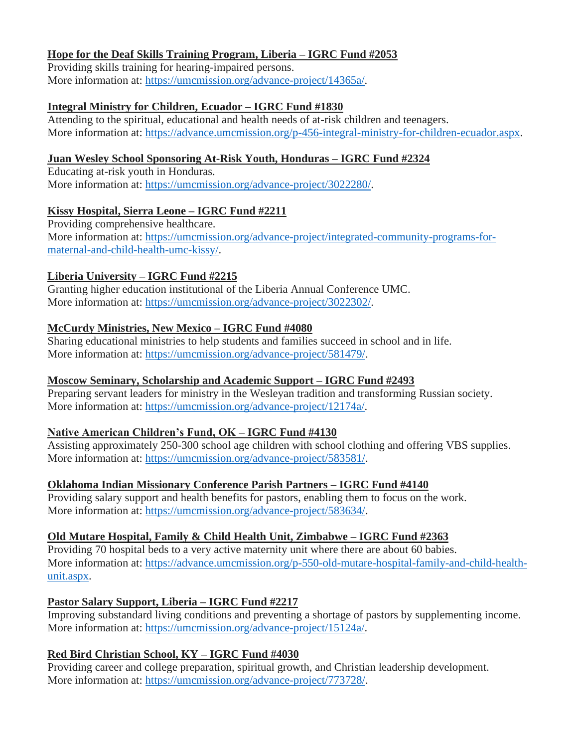### **Hope for the Deaf Skills Training Program, Liberia – IGRC Fund #2053**

Providing skills training for hearing-impaired persons. More information at: [https://umcmission.org/advance-project/14365a/.](https://umcmission.org/advance-project/14365a/)

### **Integral Ministry for Children, Ecuador – IGRC Fund #1830**

Attending to the spiritual, educational and health needs of at-risk children and teenagers. More information at: [https://advance.umcmission.org/p-456-integral-ministry-for-children-ecuador.aspx.](https://advance.umcmission.org/p-456-integral-ministry-for-children-ecuador.aspx)

# **Juan Wesley School Sponsoring At-Risk Youth, Honduras – IGRC Fund #2324**

Educating at-risk youth in Honduras. More information at: [https://umcmission.org/advance-project/3022280/.](https://umcmission.org/advance-project/3022280/)

### **Kissy Hospital, Sierra Leone – IGRC Fund #2211**

Providing comprehensive healthcare. More information at: [https://umcmission.org/advance-project/integrated-community-programs-for](https://umcmission.org/advance-project/integrated-community-programs-for-maternal-and-child-health-umc-kissy/)[maternal-and-child-health-umc-kissy/.](https://umcmission.org/advance-project/integrated-community-programs-for-maternal-and-child-health-umc-kissy/)

# **Liberia University – IGRC Fund #2215**

Granting higher education institutional of the Liberia Annual Conference UMC. More information at: [https://umcmission.org/advance-project/3022302/.](https://umcmission.org/advance-project/3022302/)

# **McCurdy Ministries, New Mexico – IGRC Fund #4080**

Sharing educational ministries to help students and families succeed in school and in life. More information at: [https://umcmission.org/advance-project/581479/.](https://umcmission.org/advance-project/581479/)

### **Moscow Seminary, Scholarship and Academic Support – IGRC Fund #2493**

Preparing servant leaders for ministry in the Wesleyan tradition and transforming Russian society. More information at: [https://umcmission.org/advance-project/12174a/.](https://umcmission.org/advance-project/12174a/)

# **Native American Children's Fund, OK – IGRC Fund #4130**

Assisting approximately 250-300 school age children with school clothing and offering VBS supplies. More information at: [https://umcmission.org/advance-project/583581/.](https://umcmission.org/advance-project/583581/)

# **Oklahoma Indian Missionary Conference Parish Partners – IGRC Fund #4140**

Providing salary support and health benefits for pastors, enabling them to focus on the work. More information at: [https://umcmission.org/advance-project/583634/.](https://umcmission.org/advance-project/583634/)

# **Old Mutare Hospital, Family & Child Health Unit, Zimbabwe – IGRC Fund #2363**

Providing 70 hospital beds to a very active maternity unit where there are about 60 babies. More information at: [https://advance.umcmission.org/p-550-old-mutare-hospital-family-and-child-health](https://advance.umcmission.org/p-550-old-mutare-hospital-family-and-child-health-unit.aspx)[unit.aspx.](https://advance.umcmission.org/p-550-old-mutare-hospital-family-and-child-health-unit.aspx)

# **Pastor Salary Support, Liberia – IGRC Fund #2217**

Improving substandard living conditions and preventing a shortage of pastors by supplementing income. More information at: [https://umcmission.org/advance-project/15124a/.](https://umcmission.org/advance-project/15124a/)

# **Red Bird Christian School, KY – IGRC Fund #4030**

Providing career and college preparation, spiritual growth, and Christian leadership development. More information at: [https://umcmission.org/advance-project/773728/.](https://umcmission.org/advance-project/773728/)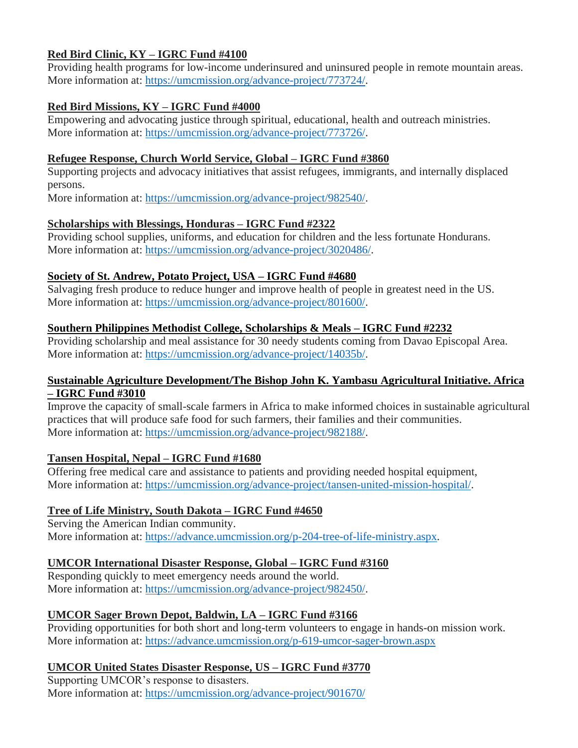### **Red Bird Clinic, KY – IGRC Fund #4100**

Providing health programs for low-income underinsured and uninsured people in remote mountain areas. More information at: [https://umcmission.org/advance-project/773724/.](https://umcmission.org/advance-project/773724/)

### **Red Bird Missions, KY – IGRC Fund #4000**

Empowering and advocating justice through spiritual, educational, health and outreach ministries. More information at: [https://umcmission.org/advance-project/773726/.](https://umcmission.org/advance-project/773726/)

#### **Refugee Response, Church World Service, Global – IGRC Fund #3860**

Supporting projects and advocacy initiatives that assist refugees, immigrants, and internally displaced persons.

More information at: [https://umcmission.org/advance-project/982540/.](https://umcmission.org/advance-project/982540/)

#### **Scholarships with Blessings, Honduras – IGRC Fund #2322**

Providing school supplies, uniforms, and education for children and the less fortunate Hondurans. More information at: [https://umcmission.org/advance-project/3020486/.](https://umcmission.org/advance-project/3020486/)

### **Society of St. Andrew, Potato Project, USA – IGRC Fund #4680**

Salvaging fresh produce to reduce hunger and improve health of people in greatest need in the US. More information at: [https://umcmission.org/advance-project/801600/.](https://umcmission.org/advance-project/801600/)

### **Southern Philippines Methodist College, Scholarships & Meals – IGRC Fund #2232**

Providing scholarship and meal assistance for 30 needy students coming from Davao Episcopal Area. More information at: [https://umcmission.org/advance-project/14035b/.](https://umcmission.org/advance-project/14035b/)

#### **Sustainable Agriculture Development/The Bishop John K. Yambasu Agricultural Initiative. Africa – IGRC Fund #3010**

Improve the capacity of small-scale farmers in Africa to make informed choices in sustainable agricultural practices that will produce safe food for such farmers, their families and their communities. More information at: [https://umcmission.org/advance-project/982188/.](https://umcmission.org/advance-project/982188/)

#### **Tansen Hospital, Nepal – IGRC Fund #1680**

Offering free medical care and assistance to patients and providing needed hospital equipment, More information at: [https://umcmission.org/advance-project/tansen-united-mission-hospital/.](https://umcmission.org/advance-project/tansen-united-mission-hospital/)

# **Tree of Life Ministry, South Dakota – IGRC Fund #4650**

Serving the American Indian community. More information at: [https://advance.umcmission.org/p-204-tree-of-life-ministry.aspx.](https://advance.umcmission.org/p-204-tree-of-life-ministry.aspx)

# **UMCOR International Disaster Response, Global – IGRC Fund #3160**

Responding quickly to meet emergency needs around the world. More information at: [https://umcmission.org/advance-project/982450/.](https://umcmission.org/advance-project/982450/)

# **UMCOR Sager Brown Depot, Baldwin, LA – IGRC Fund #3166**

Providing opportunities for both short and long-term volunteers to engage in hands-on mission work. More information at:<https://advance.umcmission.org/p-619-umcor-sager-brown.aspx>

# **UMCOR United States Disaster Response, US – IGRC Fund #3770**

Supporting UMCOR's response to disasters. More information at:<https://umcmission.org/advance-project/901670/>